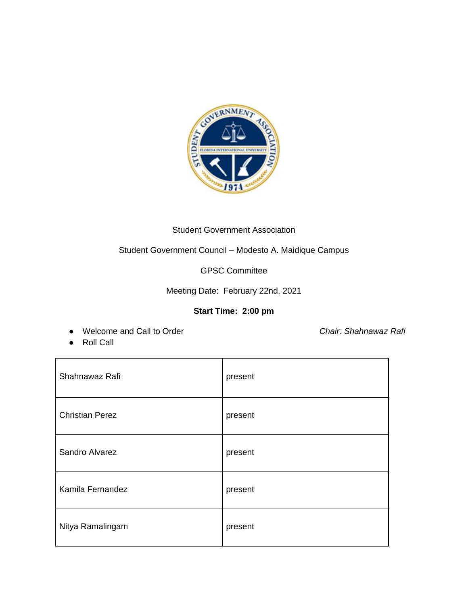

## Student Government Association

Student Government Council – Modesto A. Maidique Campus

GPSC Committee

Meeting Date: February 22nd, 2021

# **Start Time: 2:00 pm**

● Welcome and Call to Order *Chair: Shahnawaz Rafi*

● Roll Call

| Shahnawaz Rafi         | present |
|------------------------|---------|
| <b>Christian Perez</b> | present |
| Sandro Alvarez         | present |
| Kamila Fernandez       | present |
| Nitya Ramalingam       | present |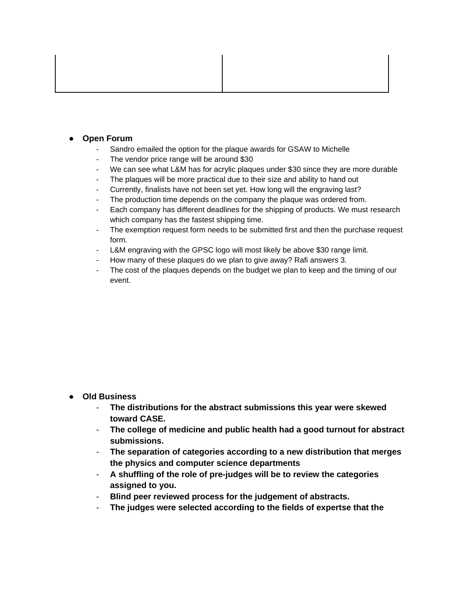## **Open Forum**

- Sandro emailed the option for the plaque awards for GSAW to Michelle
- The vendor price range will be around \$30
- We can see what L&M has for acrylic plaques under \$30 since they are more durable
- The plaques will be more practical due to their size and ability to hand out
- Currently, finalists have not been set yet. How long will the engraving last?
- The production time depends on the company the plaque was ordered from.
- Each company has different deadlines for the shipping of products. We must research which company has the fastest shipping time.
- The exemption request form needs to be submitted first and then the purchase request form.
- L&M engraving with the GPSC logo will most likely be above \$30 range limit.
- How many of these plaques do we plan to give away? Rafi answers 3.
- The cost of the plaques depends on the budget we plan to keep and the timing of our event.

#### ● **Old Business**

- **The distributions for the abstract submissions this year were skewed toward CASE.**
- **The college of medicine and public health had a good turnout for abstract submissions.**
- **The separation of categories according to a new distribution that merges the physics and computer science departments**
- **A shuffling of the role of pre-judges will be to review the categories assigned to you.**
- **Blind peer reviewed process for the judgement of abstracts.**
- **The judges were selected according to the fields of expertse that the**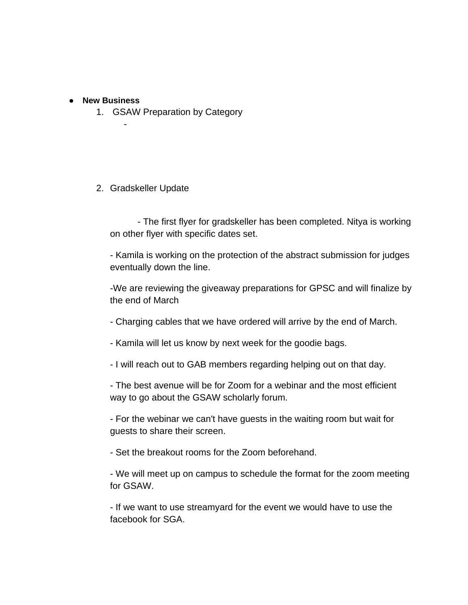## ● **New Business**

-

1. GSAW Preparation by Category

2. Gradskeller Update

- The first flyer for gradskeller has been completed. Nitya is working on other flyer with specific dates set.

- Kamila is working on the protection of the abstract submission for judges eventually down the line.

-We are reviewing the giveaway preparations for GPSC and will finalize by the end of March

- Charging cables that we have ordered will arrive by the end of March.
- Kamila will let us know by next week for the goodie bags.
- I will reach out to GAB members regarding helping out on that day.

- The best avenue will be for Zoom for a webinar and the most efficient way to go about the GSAW scholarly forum.

- For the webinar we can't have guests in the waiting room but wait for guests to share their screen.

- Set the breakout rooms for the Zoom beforehand.

- We will meet up on campus to schedule the format for the zoom meeting for GSAW.

- If we want to use streamyard for the event we would have to use the facebook for SGA.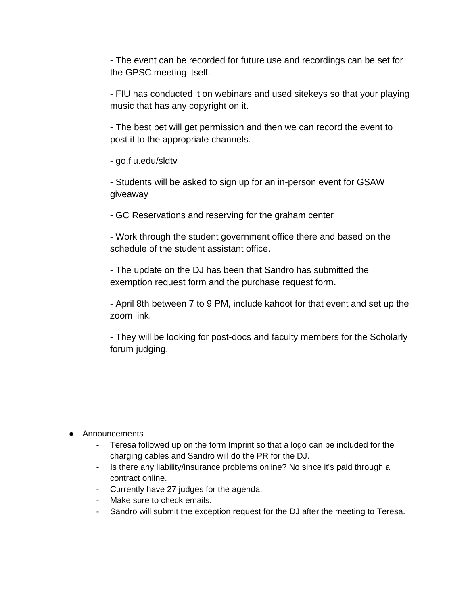- The event can be recorded for future use and recordings can be set for the GPSC meeting itself.

- FIU has conducted it on webinars and used sitekeys so that your playing music that has any copyright on it.

- The best bet will get permission and then we can record the event to post it to the appropriate channels.

- go.fiu.edu/sldtv

- Students will be asked to sign up for an in-person event for GSAW giveaway

- GC Reservations and reserving for the graham center

- Work through the student government office there and based on the schedule of the student assistant office.

- The update on the DJ has been that Sandro has submitted the exemption request form and the purchase request form.

- April 8th between 7 to 9 PM, include kahoot for that event and set up the zoom link.

- They will be looking for post-docs and faculty members for the Scholarly forum judging.

## ● Announcements

- Teresa followed up on the form Imprint so that a logo can be included for the charging cables and Sandro will do the PR for the DJ.
- Is there any liability/insurance problems online? No since it's paid through a contract online.
- Currently have 27 judges for the agenda.
- Make sure to check emails.
- Sandro will submit the exception request for the DJ after the meeting to Teresa.